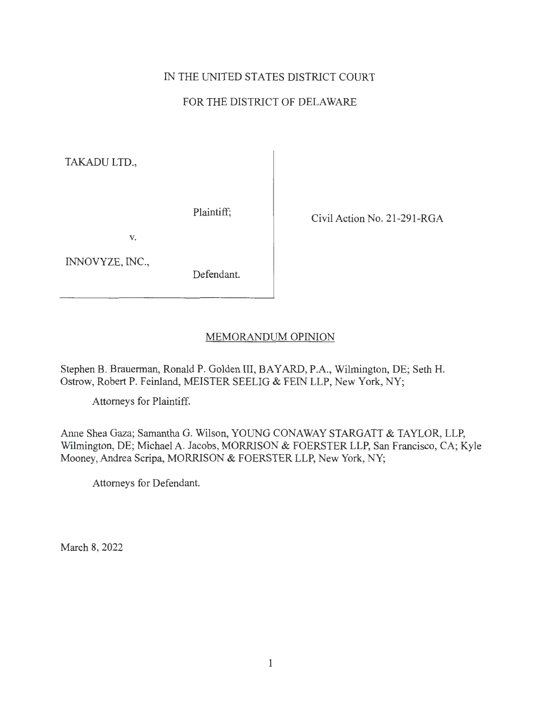# IN THE UNITED STATES DISTRICT COURT

## FOR THE DISTRICT OF DELAWARE

TAKADU LTD.,

Plaintiff; Civil Action No. 21-291-RGA

V.

INNOVYZE, INC.,

Defendant.

### MEMORANDUM OPINION

Stephen B. Brauerman, Ronald P. Golden III, BAY ARD, P.A., Wilmington, DE; Seth H. Ostrow, Robert P. Feinland, MEISTER SEELIG & FEIN LLP, New York, NY;

Attorneys for Plaintiff.

Anne Shea Gaza; Samantha G. Wilson, YOUNG CONAWAY STARGATT & TAYLOR, LLP, Wilmington, DE; Michael A. Jacobs, MORRISON & FOERSTER LLP, San Francisco, CA; Kyle Mooney, Andrea Scripa, MORRISON & FOERSTER LLP, New York, NY;

Attorneys for Defendant.

March 8, 2022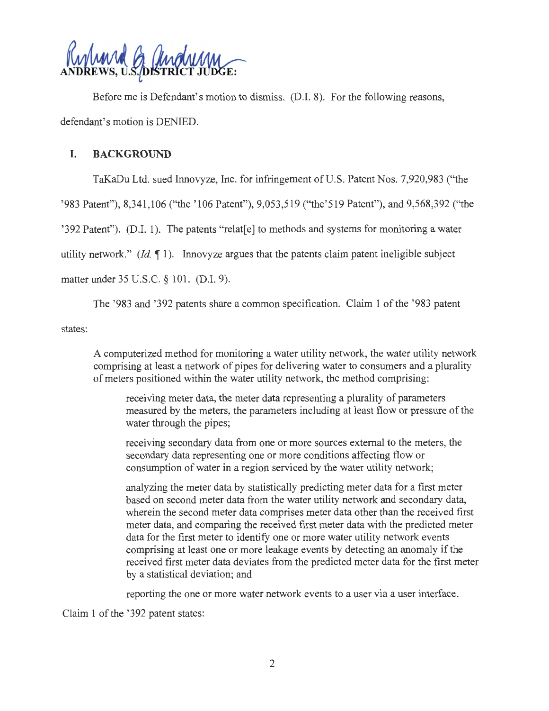

Before me is Defendant's motion to dismiss. (D.I. 8). For the following reasons, defendant's motion is DENIED.

### **I. BACKGROUND**

TaKaDu Ltd. sued Innovyze, Inc. for infringement of U.S. Patent Nos. 7,920,983 ("the

' 983 Patent"), 8,341 ,106 ("the ' 106 Patent"), 9,053,519 ("the'519 Patent"), and 9,568,392 ("the

'392 Patent"). (D.I. 1). The patents "relat[e] to methods and systems for monitoring a water

utility network."  $(Id, \P 1)$ . Innovyze argues that the patents claim patent ineligible subject

matter under 35 U.S.C. § 101. (D.I. 9).

The '983 and '392 patents share a common specification. Claim 1 of the '983 patent

states:

A computerized method for monitoring a water utility network, the water utility network comprising at least a network of pipes for delivering water to consumers and a plurality of meters positioned within the water utility network, the method comprising:

receiving meter data, the meter data representing a plurality of parameters measured by the meters, the parameters including at least flow or pressure of the water through the pipes;

receiving secondary data from one or more sources external to the meters, the secondary data representing one or more conditions affecting flow or consumption of water in a region serviced by the water utility network;

analyzing the meter data by statistically predicting meter data for a first meter based on second meter data from the water utility network and secondary data, wherein the second meter data comprises meter data other than the received first meter data, and comparing the received first meter data with the predicted meter data for the first meter to identify one or more water utility network events comprising at least one or more leakage events by detecting an anomaly if the received first meter data deviates from the predicted meter data for the first meter by a statistical deviation; and

reporting the one or more water network events to a user via a user interface.

Claim 1 of the '392 patent states: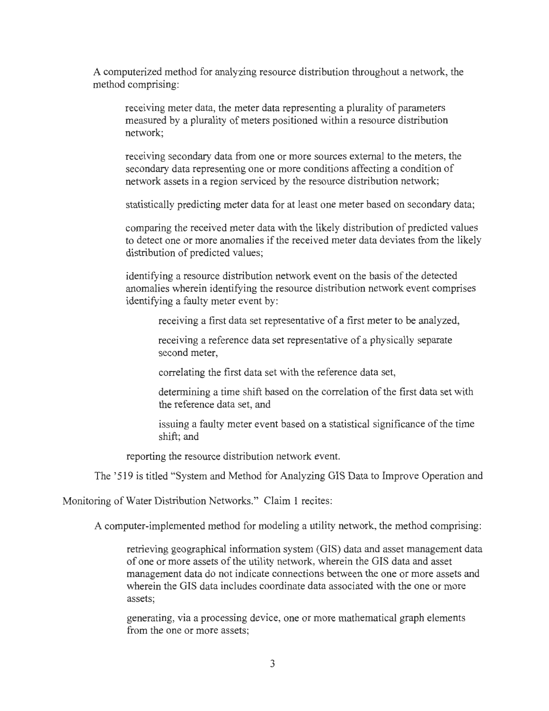A computerized method for analyzing resource distribution throughout a network, the method comprising:

receiving meter data, the meter data representing a plurality of parameters measured by a plurality of meters positioned within a resource distribution network;

receiving secondary data from one or more sources external to the meters, the secondary data representing one or more conditions affecting a condition of network assets in a region serviced by the resource distribution network;

statistically predicting meter data for at least one meter based on secondary data;

comparing the received meter data with the likely distribution of predicted values to detect one or more anomalies if the received meter data deviates from the likely distribution of predicted values;

identifying a resource distribution network event on the basis of the detected anomalies wherein identifying the resource distribution network event comprises identifying a faulty meter event by:

receiving a first data set representative of a first meter to be analyzed,

receiving a reference data set representative of a physically separate second meter,

correlating the first data set with the reference data set,

determining a time shift based on the correlation of the first data set with the reference data set, and

issuing a faulty meter event based on a statistical significance of the time shift; and

reporting the resource distribution network event.

The '519 is titled "System and Method for Analyzing GIS Data to Improve Operation and

Monitoring of Water Distribution Networks." Claim 1 recites:

A computer-implemented method for modeling a utility network, the method comprising:

retrieving geographical information system (GIS) data and asset management data of one or more assets of the utility network, wherein the GIS data and asset management data do not indicate connections between the one or more assets and wherein the GIS data includes coordinate data associated with the one or more assets;

generating, via a processing device, one or more mathematical graph elements from the one or more assets;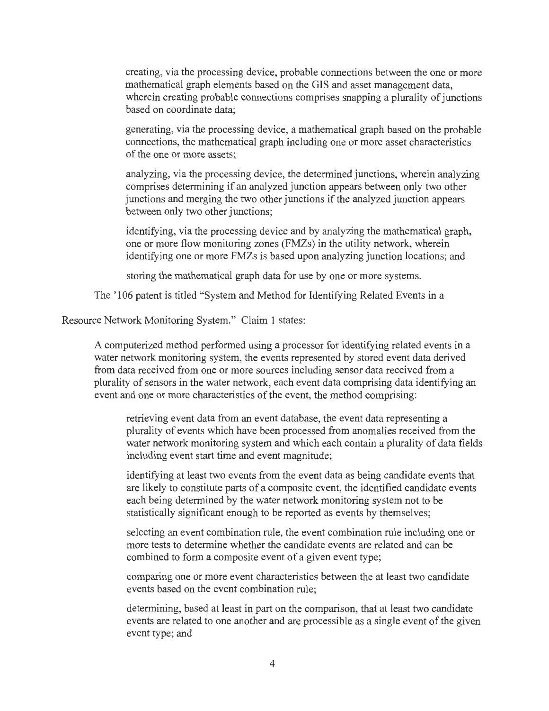creating, via the processing device, probable connections between the one or more mathematical graph elements based on the GIS and asset management data, wherein creating probable connections comprises snapping a plurality of junctions based on coordinate data;

generating, via the processing device, a mathematical graph based on the probable connections, the mathematical graph including one or more asset characteristics of the one or more assets;

analyzing, via the processing device, the determined junctions, wherein analyzing comprises determining if an analyzed junction appears between only two other junctions and merging the two other junctions if the analyzed junction appears between only two other junctions;

identifying, via the processing device and by analyzing the mathematical graph, one or more flow monitoring zones (FMZs) in the utility network, wherein identifying one or more FMZs is based upon analyzing junction locations; and

storing the mathematical graph data for use by one or more systems.

The '106 patent is titled "System and Method for Identifying Related Events in a

Resource Network Monitoring System." Claim 1 states:

A computerized method performed using a processor for identifying related events in a water network monitoring system, the events represented by stored event data derived from data received from one or more sources including sensor data received from a plurality of sensors in the water network, each event data comprising data identifying an event and one or more characteristics of the event, the method comprising:

retrieving event data from an event database, the event data representing a plurality of events which have been processed from anomalies received from the water network monitoring system and which each contain a plurality of data fields including event start time and event magnitude;

identifying at least two events from the event data as being candidate events that are likely to constitute parts of a composite event, the identified candidate events each being determined by the water network monitoring system not to be statistically significant enough to be reported as events by themselves;

selecting an event combination rule, the event combination rule including one or more tests to determine whether the candidate events are related and can be combined to form a composite event of a given event type;

comparing one or more event characteristics between the at least two candidate events based on the event combination rule;

determining, based at least in part on the comparison, that at least two candidate events are related to one another and are processible as a single event of the given event type; and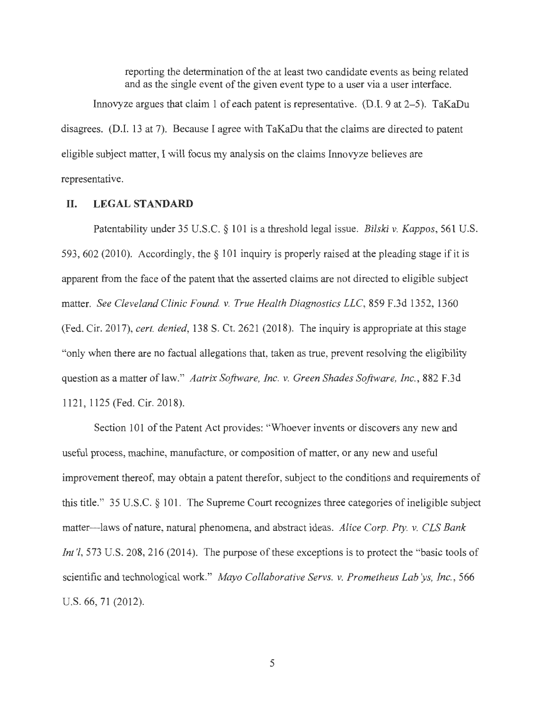reporting the determination of the at least two candidate events as being related and as the single event of the given event type to a user via a user interface.

Innovyze argues that claim 1 of each patent is representative. (D.I. 9 at  $2-5$ ). TaKaDu disagrees. (D.I. 13 at 7). Because I agree with TaKaDu that the claims are directed to patent eligible subject matter, I will focus my analysis on the claims Innovyze believes are representative.

#### **II. LEGAL STANDARD**

Patentability under 35 U.S.C. § 101 is a threshold legal issue. *Bilski* v. *Kappas,* 561 U.S. 593, 602 (2010). Accordingly, the  $\S$  101 inquiry is properly raised at the pleading stage if it is apparent from the face of the patent that the asserted claims are not directed to eligible subject matter. *See Cleveland Clinic Found.* v. *True Health Diagnostics LLC,* 859 F.3d 1352, 1360 (Fed. Cir. 2017), *cert. denied,* 138 S. Ct. 2621 (2018). The inquiry is appropriate at this stage "only when there are no factual allegations that, taken as true, prevent resolving the eligibility question as a matter oflaw." *Aatrix Software, Inc.* v. *Green Shades Software, Inc.,* 882 F.3d 1121, 1125 (Fed. Cir. 2018).

Section 101 of the Patent Act provides: "Whoever invents or discovers any new and useful process, machine, manufacture, or composition of matter, or any new and useful improvement thereof, may obtain a patent therefor, subject to the conditions and requirements of this title." 35 U.S.C. § 101. The Supreme Court recognizes three categories of ineligible subject matter-laws of nature, natural phenomena, and abstract ideas. *Alice Corp. Pty.* v. *CLS Bank Int* '*l*, 573 U.S. 208, 216 (2014). The purpose of these exceptions is to protect the "basic tools of scientific and technological work." *Mayo Collaborative Servs.* v. *Prometheus Lab ys, Inc.,* 566 U.S. 66, 71 (2012).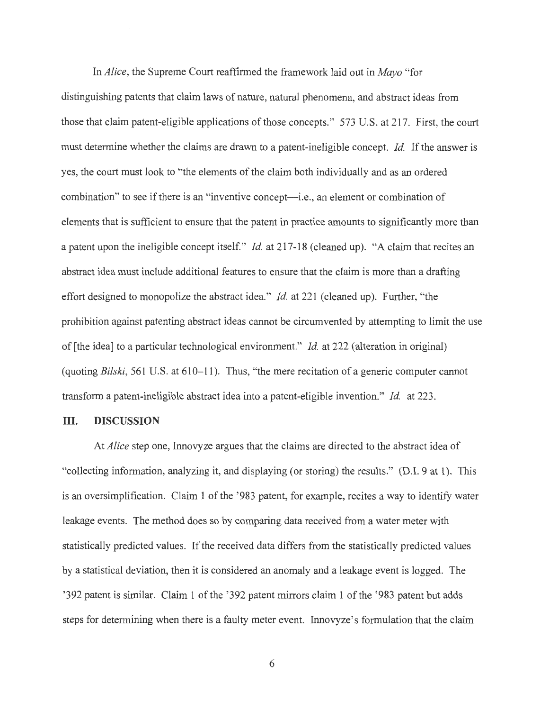In *Alice,* the Supreme Court reaffirmed the framework laid out in *Mayo* "for distinguishing patents that claim laws of nature, natural phenomena, and abstract ideas from those that claim patent-eligible applications of those concepts." 573 U.S. at 217. First, the court must determine whether the claims are drawn to a patent-ineligible concept. *Id.* If the answer is yes, the court must look to "the elements of the claim both individually and as an ordered combination" to see if there is an "inventive concept-i.e., an element or combination of elements that is sufficient to ensure that the patent in practice amounts to significantly more than a patent upon the ineligible concept itself." *Id.* at 217-18 (cleaned up). "A claim that recites an abstract idea must include additional features to ensure that the claim is more than a drafting effort designed to monopolize the abstract idea." *Id.* at 221 (cleaned up). Further, "the prohibition against patenting abstract ideas cannot be circumvented by attempting to limit the use of [the idea] to a particular technological environment." *Id.* at 222 (alteration in original) (quoting *Bilski,* 561 U.S. at 610-11). Thus, "the mere recitation of a generic computer cannot transform a patent-ineligible abstract idea into a patent-eligible invention." *Id.* at 223.

#### **III. DISCUSSION**

At *Alice* step one, Innovyze argues that the claims are directed to the abstract idea of "collecting information, analyzing it, and displaying (or storing) the results." (D.I. 9 at 1). This is an oversimplification. Claim 1 of the '983 patent, for example, recites a way to identify water leakage events. The method does so by comparing data received from a water meter with statistically predicted values. If the received data differs from the statistically predicted values by a statistical deviation, then it is considered an anomaly and a leakage event is logged. The '392 patent is similar. Claim 1 of the '392 patent mirrors claim 1 of the '983 patent but adds steps for determining when there is a faulty meter event. Innovyze's formulation that the claim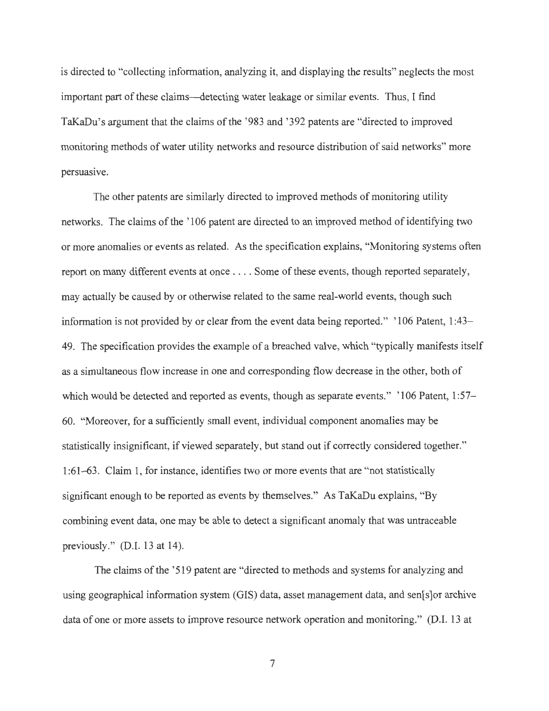is directed to "collecting information, analyzing it, and displaying the results" neglects the most important part of these claims--detecting water leakage or similar events. Thus, I find TaKaDu's argument that the claims of the '983 and '392 patents are "directed to improved monitoring methods of water utility networks and resource distribution of said networks" more persuasive.

The other patents are similarly directed to improved methods of monitoring utility networks. The claims of the ' 106 patent are directed to an improved method of identifying two or more anomalies or events as related. As the specification explains, "Monitoring systems often report on many different events at once . .. . Some of these events, though reported separately, may actually be caused by or otherwise related to the same real-world events, though such information is not provided by or clear from the event data being reported." ' 106 Patent, 1 :43- 49. The specification provides the example of a breached valve, which "typically manifests itself as a simultaneous flow increase in one and corresponding flow decrease in the other, both of which would be detected and reported as events, though as separate events." '106 Patent, 1:57-60. "Moreover, for a sufficiently small event, individual component anomalies may be statistically insignificant, if viewed separately, but stand out if correctly considered together." 1 :61-63. Claim 1, for instance, identifies two or more events that are "not statistically significant enough to be reported as events by themselves." As TaKaDu explains, "By combining event data, one may be able to detect a significant anomaly that was untraceable previously." (D.I. 13 at 14).

The claims of the '519 patent are "directed to methods and systems for analyzing and using geographical information system (GIS) data, asset management data, and sen[s]or archive data of one or more assets to improve resource network operation and monitoring." (D.I. 13 at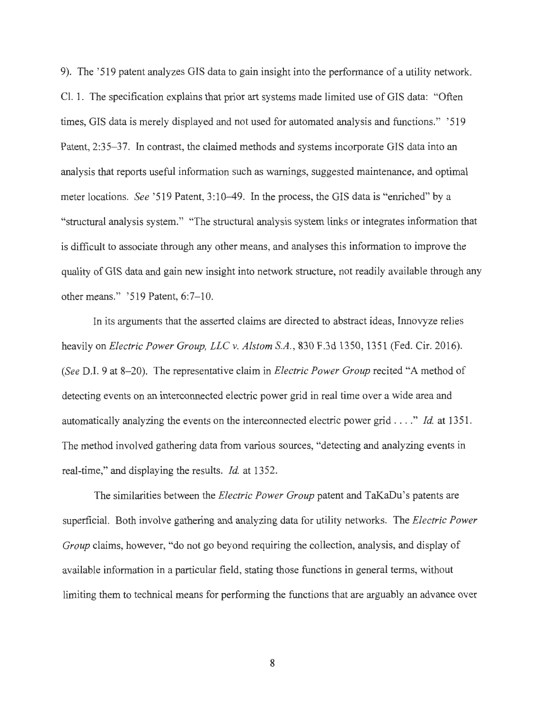9). The '519 patent analyzes GIS data to gain insight into the performance of a utility network. Cl. 1. The specification explains that prior art systems made limited use of GIS data: "Often times, GIS data is merely displayed and not used for automated analysis and functions." ' 519 Patent, 2:35-37. In contrast, the claimed methods and systems incorporate GIS data into an analysis that reports useful information such as warnings, suggested maintenance, and optimal meter locations. *See* '519 Patent, 3:10–49. In the process, the GIS data is "enriched" by a "structural analysis system." "The structural analysis system links or integrates information that is difficult to associate through any other means, and analyses this information to improve the quality of GIS data and gain new insight into network structure, not readily available through any other means." '519 Patent, 6:7-10.

In its arguments that the asserted claims are directed to abstract ideas, Innovyze relies heavily on *Electric Power Group, LLC v. Alstom S.A.,* 830 F.3d 1350, 1351 (Fed. Cir. 2016). *(See D.I. 9 at 8-20).* The representative claim in *Electric Power Group* recited "A method of detecting events on an interconnected electric power grid in real time over a wide area and automatically analyzing the events on the interconnected electric power grid .... " *Id.* at 1351. The method involved gathering data from various sources, "detecting and analyzing events in real-time," and displaying the results. *Id.* at 1352.

The similarities between the *Electric Power Group* patent and TaKaDu's patents are superficial. Both involve gathering and analyzing data for utility networks. The *Electric Power Group* claims, however, "do not go beyond requiring the collection, analysis, and display of available information in a particular field, stating those functions in general terms, without limiting them to technical means for performing the functions that are arguably an advance over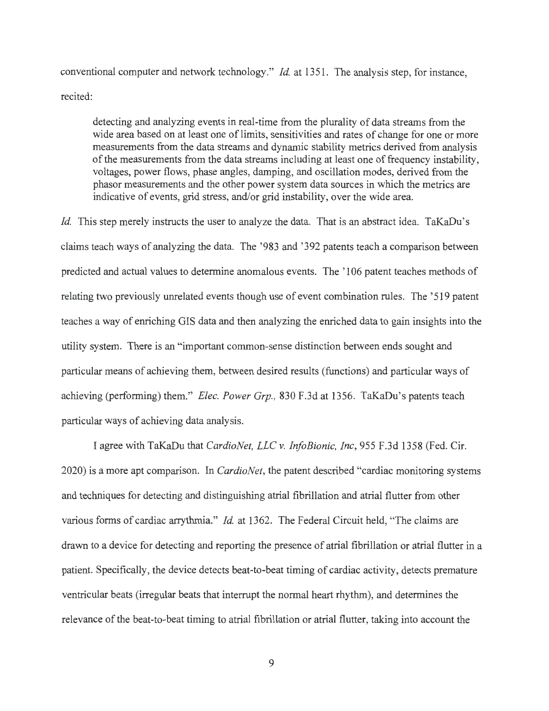conventional computer and network technology." *Id.* at 1351. The analysis step, for instance, recited:

detecting and analyzing events in real-time from the plurality of data streams from the wide area based on at least one of limits, sensitivities and rates of change for one or more measurements from the data streams and dynamic stability metrics derived from analysis of the measurements from the data streams including at least one of frequency instability, voltages, power flows, phase angles, damping, and oscillation modes, derived from the phasor measurements and the other power system data sources in which the metrics are indicative of events, grid stress, and/or grid instability, over the wide area.

*Id.* This step merely instructs the user to analyze the data. That is an abstract idea. TaKaDu's claims teach ways of analyzing the data. The '983 and '392 patents teach a comparison between predicted and actual values to determine anomalous events. The ' 106 patent teaches methods of relating two previously unrelated events though use of event combination rules. The '519 patent teaches a way of enriching GIS data and then analyzing the enriched data to gain insights into the utility system. There is an "important common-sense distinction between ends sought and particular means of achieving them, between desired results (functions) and particular ways of achieving (performing) them." *Elec. Power Grp.*, 830 F.3d at 1356. TaKaDu's patents teach particular ways of achieving data analysis.

I agree with TaK.aDu that *CardioNet, LLC v. InfoBionic, Inc,* 955 F.3d 1358 (Fed. Cir. 2020) is a more apt comparison. In *CardioNet,* the patent described "cardiac monitoring systems and techniques for detecting and distinguishing atrial fibrillation and atrial flutter from other various forms of cardiac arrythmia." *Id.* at 1362. The Federal Circuit held, "The claims are drawn to a device for detecting and reporting the presence of atrial fibrillation or atrial flutter in a patient. Specifically, the device detects beat-to-beat timing of cardiac activity, detects premature ventricular beats (irregular beats that interrupt the normal heart rhythm), and determines the relevance of the beat-to-beat timing to atrial fibrillation or atrial flutter, taking into account the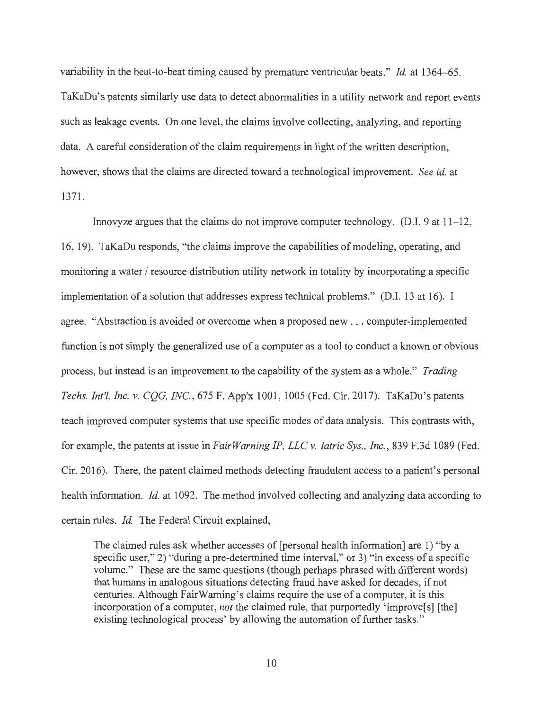variability in the beat-to-beat timing caused by premature ventricular beats." *Id.* at 1364-65. TaKaDu's patents similarly use data to detect abnormalities in a utility network and report events such as leakage events. On one level, the claims involve collecting, analyzing, and reporting data. A careful consideration of the claim requirements in light of the written description, however, shows that the claims are directed toward a technological improvement. *See id.* at 1371.

Innovyze argues that the claims do not improve computer technology. (D.I. 9 at 11-12, 16, 19). TaKaDu responds, "the claims improve the capabilities of modeling, operating, and monitoring a water / resource distribution utility network in totality by incorporating a specific implementation of a solution that addresses express technical problems." (D.I. 13 at 16). I agree. "Abstraction is avoided or overcome when a proposed new ... computer-implemented function is not simply the generalized use of a computer as a tool to conduct a known or obvious process, but instead is an improvement to the capability of the system as a whole." *Trading Techs. Int'l, Inc. v. COG, INC.*, 675 F. App'x 1001, 1005 (Fed. Cir. 2017). TaKaDu's patents teach improved computer systems that use specific modes of data analysis. This contrasts with, for example, the patents at issue in *Fair Warning IP, LLC* v. *Iatric Sys., Inc.,* 839 F.3d 1089 (Fed. Cir. 2016). There, the patent claimed methods detecting fraudulent access to a patient's personal health information. *Id.* at 1092. The method involved collecting and analyzing data according to certain rules. *Id.* The Federal Circuit explained,

The claimed rules ask whether accesses of [personal health information] are 1) "by a specific user," 2) "during a pre-determined time interval," or 3) "in excess of a specific volume." These are the same questions (though perhaps phrased with different words) that humans in analogous situations detecting fraud have asked for decades, if not centuries. Although FairWarning's claims require the use of a computer, it is this incorporation of a computer, *not* the claimed rule, that purportedly 'improve[s] [the] existing technological process' by allowing the automation of further tasks."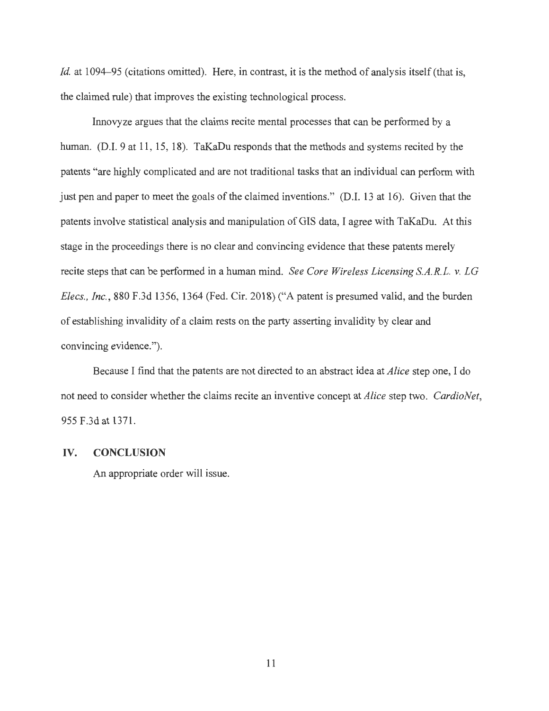*Id.* at 1094–95 (citations omitted). Here, in contrast, it is the method of analysis itself (that is, the claimed rule) that improves the existing technological process.

Innovyze argues that the claims recite mental processes that can be performed by a human. (D.I. 9 at 11, 15, 18). TaKaDu responds that the methods and systems recited by the patents "are highly complicated and are not traditional tasks that an individual can perform with just pen and paper to meet the goals of the claimed inventions." (D.I. 13 at 16). Given that the patents involve statistical analysis and manipulation of GIS data, I agree with TaKaDu. At this stage in the proceedings there is no clear and convincing evidence that these patents merely recite steps that can be performed in a human mind. *See Core Wireless Licensing S.A.R.L. v. LG Elecs. , Inc.,* 880 F.3d 1356, 1364 (Fed. Cir. 2018) ("A patent is presumed valid, and the burden of establishing invalidity of a claim rests on the party asserting invalidity by clear and convincing evidence.").

Because I find that the patents are not directed to an abstract idea at *Alice* step one, I do not need to consider whether the claims recite an inventive concept at *Alice* step two. *CardioNet,*  955 F.3d at 1371.

#### **IV. CONCLUSION**

An appropriate order will issue.